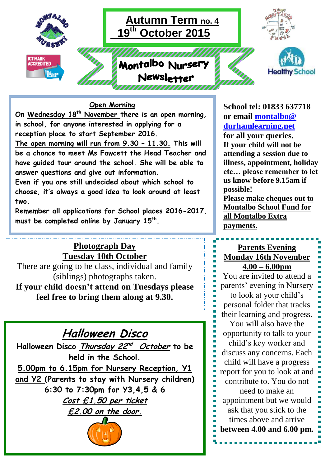

### **Open Morning**

**On Wednesday 18th November there is an open morning, in school, for anyone interested in applying for a reception place to start September 2016. The open morning will run from 9.30 – 11.30. This will be a chance to meet Ms Fawcett the Head Teacher and have guided tour around the school. She will be able to answer questions and give out information.**

**Even if you are still undecided about which school to choose, it's always a good idea to look around at least two.**

**Remember all applications for School places 2016-2017, must be completed online by January 15th .**

# **Photograph Day Tuesday 10th October**

There are going to be class, individual and family (siblings) photographs taken. **If your child doesn't attend on Tuesdays please feel free to bring them along at 9.30.**

# **Halloween Disco**

**Halloween Disco Thursday 22 nd October to be held in the School.**

**5.00pm to 6.15pm for Nursery Reception, Y1 and Y2 (Parents to stay with Nursery children) 6:30 to 7:30pm for Y3,4,5 & 6 Cost £1.50 per ticket £2.00 on the door.**



**School tel: 01833 637718 or email [montalbo@](mailto:montalbo@durhamlearning.net)  [durhamlearning.net](mailto:montalbo@durhamlearning.net)**

**for all your queries. If your child will not be attending a session due to illness, appointment, holiday etc… please remember to let us know before 9.15am if possible!**

**Please make cheques out to Montalbo School Fund for all Montalbo Extra payments.**

## **Parents Evening Monday 16th November 4.00 – 6.00pm**

You are invited to attend a parents' evening in Nursery to look at your child's personal folder that tracks their learning and progress.

You will also have the opportunity to talk to your child's key worker and discuss any concerns. Each child will have a progress report for you to look at and contribute to. You do not need to make an appointment but we would ask that you stick to the times above and arrive **between 4.00 and 6.00 pm.**